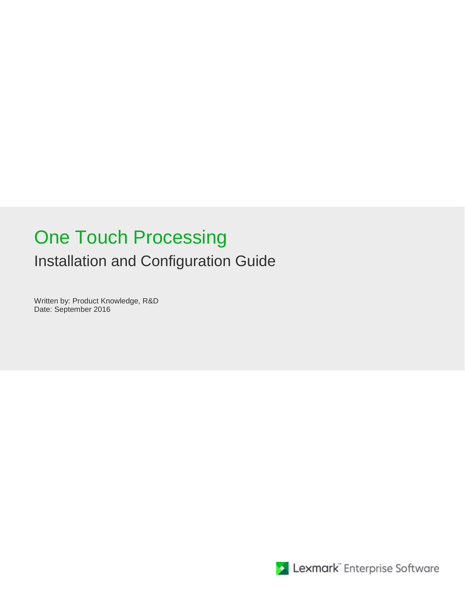# One Touch Processing Installation and Configuration Guide

Written by: Product Knowledge, R&D Date: September 2016

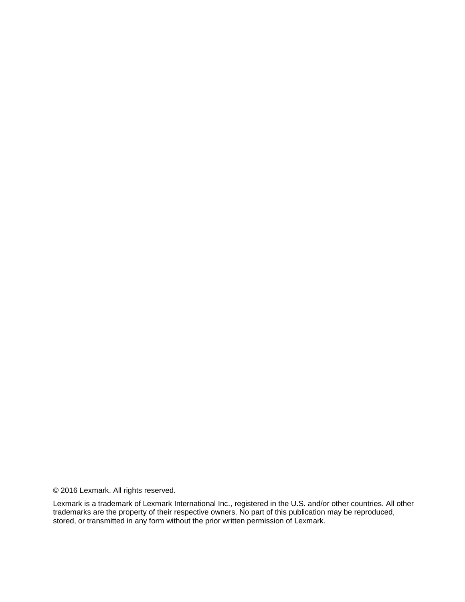© 2016 Lexmark. All rights reserved.

Lexmark is a trademark of Lexmark International Inc., registered in the U.S. and/or other countries. All other trademarks are the property of their respective owners. No part of this publication may be reproduced, stored, or transmitted in any form without the prior written permission of Lexmark.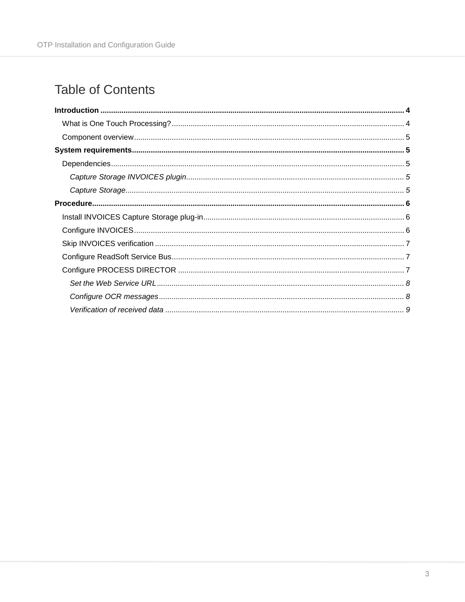# **Table of Contents**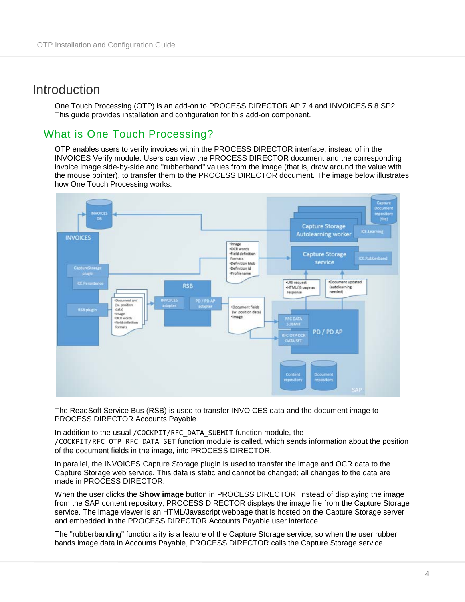## <span id="page-3-0"></span>Introduction

One Touch Processing (OTP) is an add-on to PROCESS DIRECTOR AP 7.4 and INVOICES 5.8 SP2. This guide provides installation and configuration for this add-on component.

### <span id="page-3-1"></span>What is One Touch Processing?

OTP enables users to verify invoices within the PROCESS DIRECTOR interface, instead of in the INVOICES Verify module. Users can view the PROCESS DIRECTOR document and the corresponding invoice image side-by-side and "rubberband" values from the image (that is, draw around the value with the mouse pointer), to transfer them to the PROCESS DIRECTOR document. The image below illustrates how One Touch Processing works.



The ReadSoft Service Bus (RSB) is used to transfer INVOICES data and the document image to PROCESS DIRECTOR Accounts Payable.

In addition to the usual /COCKPIT/RFC\_DATA\_SUBMIT function module, the /COCKPIT/RFC\_OTP\_RFC\_DATA\_SET function module is called, which sends information about the position of the document fields in the image, into PROCESS DIRECTOR.

In parallel, the INVOICES Capture Storage plugin is used to transfer the image and OCR data to the Capture Storage web service. This data is static and cannot be changed; all changes to the data are made in PROCESS DIRECTOR.

When the user clicks the **Show image** button in PROCESS DIRECTOR, instead of displaying the image from the SAP content repository, PROCESS DIRECTOR displays the image file from the Capture Storage service. The image viewer is an HTML/Javascript webpage that is hosted on the Capture Storage server and embedded in the PROCESS DIRECTOR Accounts Payable user interface.

The "rubberbanding" functionality is a feature of the Capture Storage service, so when the user rubber bands image data in Accounts Payable, PROCESS DIRECTOR calls the Capture Storage service.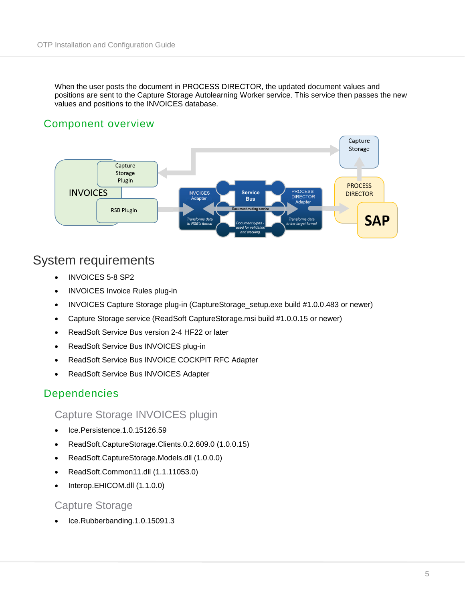When the user posts the document in PROCESS DIRECTOR, the updated document values and positions are sent to the Capture Storage Autolearning Worker service. This service then passes the new values and positions to the INVOICES database.

#### <span id="page-4-0"></span>Component overview



# <span id="page-4-1"></span>System requirements

- INVOICES 5-8 SP2
- INVOICES Invoice Rules plug-in
- INVOICES Capture Storage plug-in (CaptureStorage\_setup.exe build #1.0.0.483 or newer)
- Capture Storage service (ReadSoft CaptureStorage.msi build #1.0.0.15 or newer)
- ReadSoft Service Bus version 2-4 HF22 or later
- ReadSoft Service Bus INVOICES plug-in
- ReadSoft Service Bus INVOICE COCKPIT RFC Adapter
- ReadSoft Service Bus INVOICES Adapter

#### <span id="page-4-2"></span>Dependencies

<span id="page-4-3"></span>Capture Storage INVOICES plugin

- Ice.Persistence.1.0.15126.59
- ReadSoft.CaptureStorage.Clients.0.2.609.0 (1.0.0.15)
- ReadSoft.CaptureStorage.Models.dll (1.0.0.0)
- ReadSoft.Common11.dll (1.1.11053.0)
- Interop.EHICOM.dll (1.1.0.0)

#### <span id="page-4-4"></span>Capture Storage

• Ice.Rubberbanding.1.0.15091.3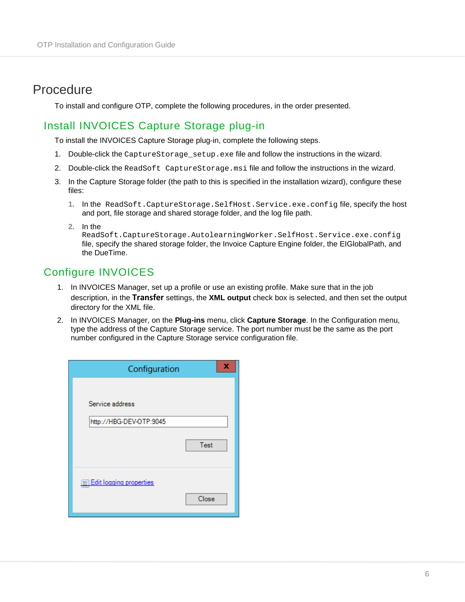# <span id="page-5-0"></span>Procedure

To install and configure OTP, complete the following procedures, in the order presented.

#### <span id="page-5-1"></span>Install INVOICES Capture Storage plug-in

To install the INVOICES Capture Storage plug-in, complete the following steps.

- 1. Double-click the CaptureStorage\_setup.exe file and follow the instructions in the wizard.
- 2. Double-click the ReadSoft CaptureStorage.msi file and follow the instructions in the wizard.
- 3. In the Capture Storage folder (the path to this is specified in the installation wizard), configure these files:
	- **1.** In the ReadSoft.CaptureStorage.SelfHost.Service.exe.config file, specify the host and port, file storage and shared storage folder, and the log file path.
	- **2.** In the

ReadSoft.CaptureStorage.AutolearningWorker.SelfHost.Service.exe.config file, specify the shared storage folder, the Invoice Capture Engine folder, the EIGlobalPath, and the DueTime.

## <span id="page-5-2"></span>Configure INVOICES

- 1. In INVOICES Manager, set up a profile or use an existing profile. Make sure that in the job description, in the **Transfer** settings, the **XML output** check box is selected, and then set the output directory for the XML file.
- 2. In INVOICES Manager, on the **Plug-ins** menu, click **Capture Storage**. In the Configuration menu, type the address of the Capture Storage service. The port number must be the same as the port number configured in the Capture Storage service configuration file.

| Configuration           | x     |
|-------------------------|-------|
| Service address         |       |
| http://HBG-DEV-OTP:9045 |       |
|                         | Test  |
| Edit logging properties |       |
|                         | Close |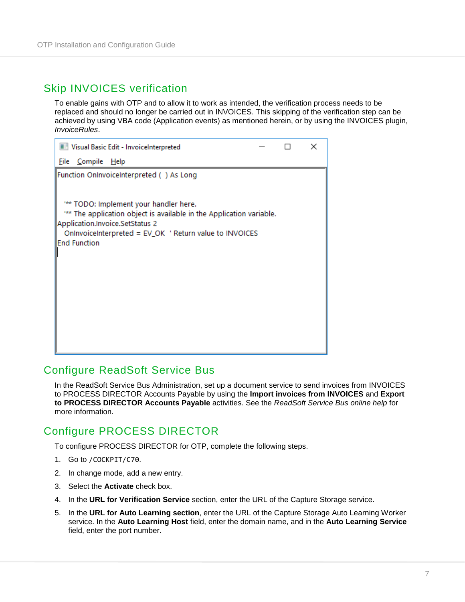#### <span id="page-6-0"></span>Skip INVOICES verification

To enable gains with OTP and to allow it to work as intended, the verification process needs to be replaced and should no longer be carried out in INVOICES. This skipping of the verification step can be achieved by using VBA code (Application events) as mentioned herein, or by using the INVOICES plugin, *InvoiceRules*.

| Visual Basic Edit - InvoiceInterpreted                                                                                                                                                                                            |  | × |
|-----------------------------------------------------------------------------------------------------------------------------------------------------------------------------------------------------------------------------------|--|---|
| <u>C</u> ompile<br>File<br><u>H</u> elp                                                                                                                                                                                           |  |   |
| Function OnInvoiceInterpreted () As Long                                                                                                                                                                                          |  |   |
| ** TODO: Implement your handler here.<br>*** The application object is available in the Application variable.<br>Application.Invoice.SetStatus 2<br>OnInvoiceInterpreted = EV_OK 'Return value to INVOICES<br><b>End Function</b> |  |   |

#### <span id="page-6-1"></span>Configure ReadSoft Service Bus

In the ReadSoft Service Bus Administration, set up a document service to send invoices from INVOICES to PROCESS DIRECTOR Accounts Payable by using the **Import invoices from INVOICES** and **Export to PROCESS DIRECTOR Accounts Payable** activities. See the *ReadSoft Service Bus online help* for more information.

## <span id="page-6-2"></span>Configure PROCESS DIRECTOR

To configure PROCESS DIRECTOR for OTP, complete the following steps.

- 1. Go to /COCKPIT/C70.
- 2. In change mode, add a new entry.
- 3. Select the **Activate** check box.
- 4. In the **URL for Verification Service** section, enter the URL of the Capture Storage service.
- 5. In the **URL for Auto Learning section**, enter the URL of the Capture Storage Auto Learning Worker service. In the **Auto Learning Host** field, enter the domain name, and in the **Auto Learning Service** field, enter the port number.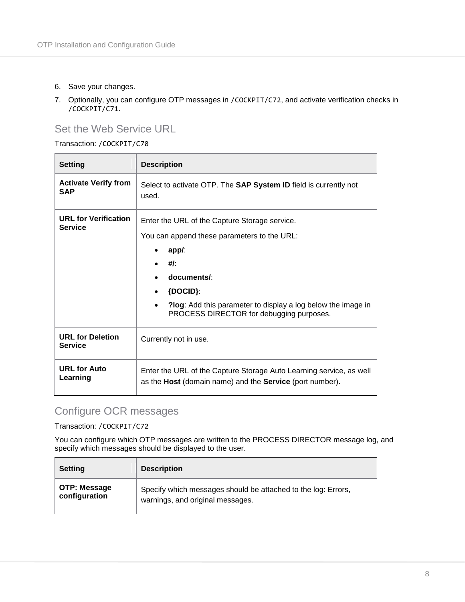- 6. Save your changes.
- 7. Optionally, you can configure OTP messages in /COCKPIT/C72, and activate verification checks in /COCKPIT/C71.

#### <span id="page-7-0"></span>Set the Web Service URL

Transaction: /COCKPIT/C70

| <b>Setting</b>                            | <b>Description</b>                                                                                                                                                                                                                                                       |
|-------------------------------------------|--------------------------------------------------------------------------------------------------------------------------------------------------------------------------------------------------------------------------------------------------------------------------|
| <b>Activate Verify from</b><br><b>SAP</b> | Select to activate OTP. The <b>SAP System ID</b> field is currently not<br>used.                                                                                                                                                                                         |
| <b>URL for Verification</b><br>Service    | Enter the URL of the Capture Storage service.<br>You can append these parameters to the URL:<br>app:<br>#I<br>documents/:<br>${DOCID}$ :<br>$\bullet$<br><b>Plog:</b> Add this parameter to display a log below the image in<br>PROCESS DIRECTOR for debugging purposes. |
| <b>URL for Deletion</b><br>Service        | Currently not in use.                                                                                                                                                                                                                                                    |
| <b>URL for Auto</b><br>Learning           | Enter the URL of the Capture Storage Auto Learning service, as well<br>as the Host (domain name) and the Service (port number).                                                                                                                                          |

# <span id="page-7-1"></span>Configure OCR messages

Transaction: /COCKPIT/C72

You can configure which OTP messages are written to the PROCESS DIRECTOR message log, and specify which messages should be displayed to the user.

| <b>Setting</b> | <b>Description</b>                                            |
|----------------|---------------------------------------------------------------|
| OTP: Message   | Specify which messages should be attached to the log: Errors, |
| configuration  | warnings, and original messages.                              |